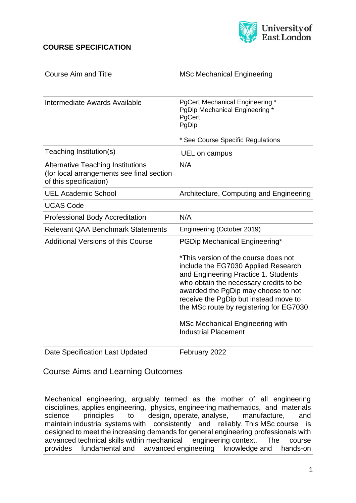



| <b>Course Aim and Title</b>                                                                                     | <b>MSc Mechanical Engineering</b>                                                                                                                                                                                                                                                                                                                                                                   |
|-----------------------------------------------------------------------------------------------------------------|-----------------------------------------------------------------------------------------------------------------------------------------------------------------------------------------------------------------------------------------------------------------------------------------------------------------------------------------------------------------------------------------------------|
| Intermediate Awards Available                                                                                   | PgCert Mechanical Engineering *<br>PgDip Mechanical Engineering *<br>PgCert<br>PgDip<br>* See Course Specific Regulations                                                                                                                                                                                                                                                                           |
| Teaching Institution(s)                                                                                         | UEL on campus                                                                                                                                                                                                                                                                                                                                                                                       |
| <b>Alternative Teaching Institutions</b><br>(for local arrangements see final section<br>of this specification) | N/A                                                                                                                                                                                                                                                                                                                                                                                                 |
| <b>UEL Academic School</b>                                                                                      | Architecture, Computing and Engineering                                                                                                                                                                                                                                                                                                                                                             |
| <b>UCAS Code</b>                                                                                                |                                                                                                                                                                                                                                                                                                                                                                                                     |
| Professional Body Accreditation                                                                                 | N/A                                                                                                                                                                                                                                                                                                                                                                                                 |
| <b>Relevant QAA Benchmark Statements</b>                                                                        | Engineering (October 2019)                                                                                                                                                                                                                                                                                                                                                                          |
| <b>Additional Versions of this Course</b>                                                                       | PGDip Mechanical Engineering*<br>*This version of the course does not<br>include the EG7030 Applied Research<br>and Engineering Practice 1. Students<br>who obtain the necessary credits to be<br>awarded the PgDip may choose to not<br>receive the PgDip but instead move to<br>the MSc route by registering for EG7030.<br><b>MSc Mechanical Engineering with</b><br><b>Industrial Placement</b> |
| Date Specification Last Updated                                                                                 | February 2022                                                                                                                                                                                                                                                                                                                                                                                       |

# Course Aims and Learning Outcomes

Mechanical engineering, arguably termed as the mother of all engineering disciplines, applies engineering, physics, engineering mathematics, and materials science principles to design, operate, analyse, manufacture, and maintain industrial systems with consistently and reliably. This MSc course is designed to meet the increasing demands for general engineering professionals with advanced technical skills within mechanical engineering context. The course provides fundamental and advanced engineering knowledge and hands-on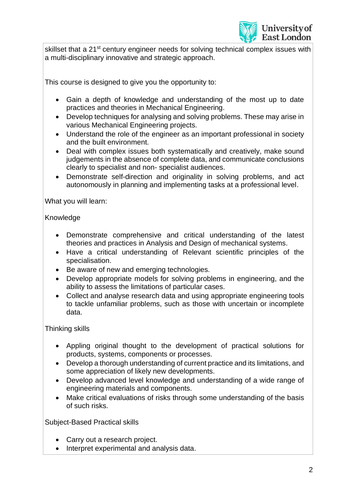

skillset that a 21<sup>st</sup> century engineer needs for solving technical complex issues with a multi-disciplinary innovative and strategic approach.

This course is designed to give you the opportunity to:

- Gain a depth of knowledge and understanding of the most up to date practices and theories in Mechanical Engineering.
- Develop techniques for analysing and solving problems. These may arise in various Mechanical Engineering projects.
- Understand the role of the engineer as an important professional in society and the built environment.
- Deal with complex issues both systematically and creatively, make sound judgements in the absence of complete data, and communicate conclusions clearly to specialist and non- specialist audiences.
- Demonstrate self-direction and originality in solving problems, and act autonomously in planning and implementing tasks at a professional level.

What you will learn:

#### Knowledge

- Demonstrate comprehensive and critical understanding of the latest theories and practices in Analysis and Design of mechanical systems.
- Have a critical understanding of Relevant scientific principles of the specialisation.
- Be aware of new and emerging technologies.
- Develop appropriate models for solving problems in engineering, and the ability to assess the limitations of particular cases.
- Collect and analyse research data and using appropriate engineering tools to tackle unfamiliar problems, such as those with uncertain or incomplete data.

#### Thinking skills

- Appling original thought to the development of practical solutions for products, systems, components or processes.
- Develop a thorough understanding of current practice and its limitations, and some appreciation of likely new developments.
- Develop advanced level knowledge and understanding of a wide range of engineering materials and components.
- Make critical evaluations of risks through some understanding of the basis of such risks.

Subject-Based Practical skills

- Carry out a research project.
- Interpret experimental and analysis data.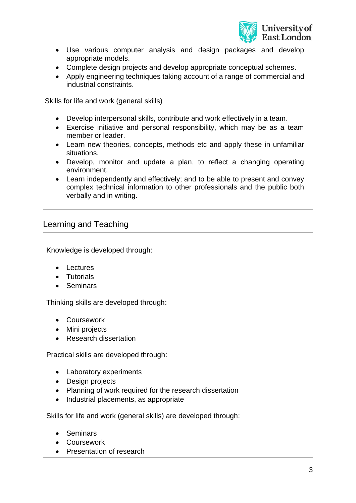

- Use various computer analysis and design packages and develop appropriate models.
- Complete design projects and develop appropriate conceptual schemes.
- Apply engineering techniques taking account of a range of commercial and industrial constraints.

Skills for life and work (general skills)

- Develop interpersonal skills, contribute and work effectively in a team.
- Exercise initiative and personal responsibility, which may be as a team member or leader.
- Learn new theories, concepts, methods etc and apply these in unfamiliar situations.
- Develop, monitor and update a plan, to reflect a changing operating environment.
- Learn independently and effectively; and to be able to present and convey complex technical information to other professionals and the public both verbally and in writing.

# Learning and Teaching

Knowledge is developed through:

- Lectures
- Tutorials
- Seminars

Thinking skills are developed through:

- Coursework
- Mini projects
- Research dissertation

Practical skills are developed through:

- Laboratory experiments
- Design projects
- Planning of work required for the research dissertation
- Industrial placements, as appropriate

Skills for life and work (general skills) are developed through:

- Seminars
- Coursework
- Presentation of research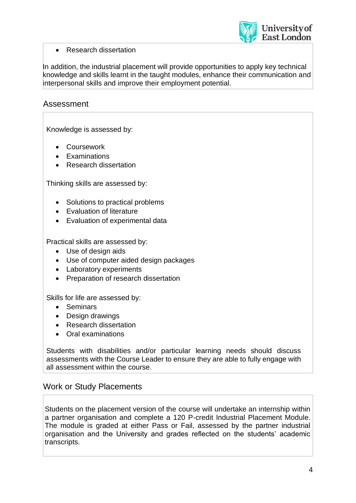

• Research dissertation

In addition, the industrial placement will provide opportunities to apply key technical knowledge and skills learnt in the taught modules, enhance their communication and interpersonal skills and improve their employment potential.

### Assessment

Knowledge is assessed by:

- Coursework
- Examinations
- Research dissertation

Thinking skills are assessed by:

- Solutions to practical problems
- Evaluation of literature
- Evaluation of experimental data

Practical skills are assessed by:

- Use of design aids
- Use of computer aided design packages
- Laboratory experiments
- Preparation of research dissertation

Skills for life are assessed by:

- Seminars
- Design drawings
- Research dissertation
- Oral examinations

Students with disabilities and/or particular learning needs should discuss assessments with the Course Leader to ensure they are able to fully engage with all assessment within the course.

### Work or Study Placements

Students on the placement version of the course will undertake an internship within a partner organisation and complete a 120 P-credit Industrial Placement Module. The module is graded at either Pass or Fail, assessed by the partner industrial organisation and the University and grades reflected on the students' academic transcripts.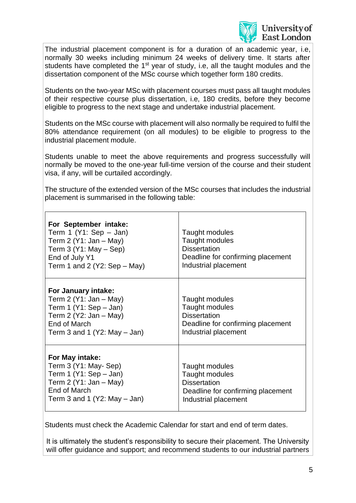

The industrial placement component is for a duration of an academic year, i.e, normally 30 weeks including minimum 24 weeks of delivery time. It starts after students have completed the  $1<sup>st</sup>$  year of study, i.e, all the taught modules and the dissertation component of the MSc course which together form 180 credits.

Students on the two-year MSc with placement courses must pass all taught modules of their respective course plus dissertation, i.e, 180 credits, before they become eligible to progress to the next stage and undertake industrial placement.

Students on the MSc course with placement will also normally be required to fulfil the 80% attendance requirement (on all modules) to be eligible to progress to the industrial placement module.

Students unable to meet the above requirements and progress successfully will normally be moved to the one-year full-time version of the course and their student visa, if any, will be curtailed accordingly.

The structure of the extended version of the MSc courses that includes the industrial placement is summarised in the following table:

| For September intake:<br>Term 1 $(Y1: Sep - Jan)$<br>Term $2(Y1: Jan - May)$<br>Term $3(Y1: May - Sep)$<br>End of July Y1<br>Term 1 and 2 (Y2: Sep $-$ May) | Taught modules<br>Taught modules<br><b>Dissertation</b><br>Deadline for confirming placement<br>Industrial placement        |
|-------------------------------------------------------------------------------------------------------------------------------------------------------------|-----------------------------------------------------------------------------------------------------------------------------|
| For January intake:<br>Term $2(Y1: Jan - May)$<br>Term 1 $(Y1: Sep - Jan)$<br>Term 2 ( $Y2$ : Jan – May)<br>End of March<br>Term 3 and 1 $(Y2: May - Jan)$  | <b>Taught modules</b><br>Taught modules<br><b>Dissertation</b><br>Deadline for confirming placement<br>Industrial placement |
| For May intake:<br>Term 3 (Y1: May- Sep)<br>Term 1 $(Y1: Sep - Jan)$<br>Term 2 $(Y1: Jan - May)$<br>End of March<br>Term 3 and 1 $(Y2: May - Jan)$          | Taught modules<br>Taught modules<br><b>Dissertation</b><br>Deadline for confirming placement<br>Industrial placement        |

Students must check the Academic Calendar for start and end of term dates.

It is ultimately the student's responsibility to secure their placement. The University will offer guidance and support; and recommend students to our industrial partners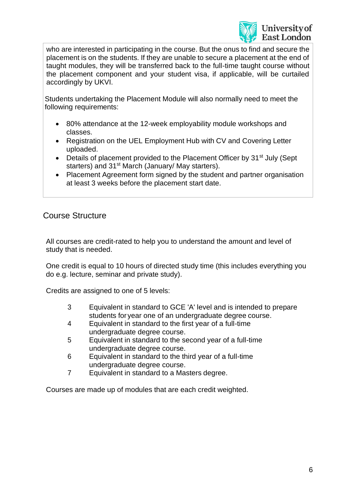

who are interested in participating in the course. But the onus to find and secure the placement is on the students. If they are unable to secure a placement at the end of taught modules, they will be transferred back to the full-time taught course without the placement component and your student visa, if applicable, will be curtailed accordingly by UKVI.

Students undertaking the Placement Module will also normally need to meet the following requirements:

- 80% attendance at the 12-week employability module workshops and classes.
- Registration on the UEL Employment Hub with CV and Covering Letter uploaded.
- Details of placement provided to the Placement Officer by  $31<sup>st</sup>$  July (Sept starters) and 31<sup>st</sup> March (January/ May starters).
- Placement Agreement form signed by the student and partner organisation at least 3 weeks before the placement start date.

## Course Structure

All courses are credit-rated to help you to understand the amount and level of study that is needed.

One credit is equal to 10 hours of directed study time (this includes everything you do e.g. lecture, seminar and private study).

Credits are assigned to one of 5 levels:

- 3 Equivalent in standard to GCE 'A' level and is intended to prepare students for year one of an undergraduate degree course.
- 4 Equivalent in standard to the first year of a full-time undergraduate degree course.
- 5 Equivalent in standard to the second year of a full-time undergraduate degree course.
- 6 Equivalent in standard to the third year of a full-time undergraduate degree course.
- 7 Equivalent in standard to a Masters degree.

Courses are made up of modules that are each credit weighted.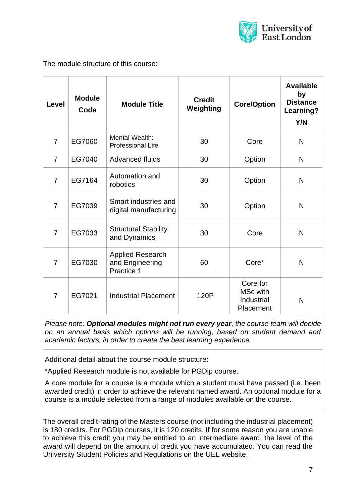

The module structure of this course:

| Level          | <b>Module</b><br>Code | <b>Module Title</b>                                      | <b>Credit</b><br>Weighting | <b>Core/Option</b>                                     | <b>Available</b><br>by<br><b>Distance</b><br>Learning?<br><b>Y/N</b> |
|----------------|-----------------------|----------------------------------------------------------|----------------------------|--------------------------------------------------------|----------------------------------------------------------------------|
| $\overline{7}$ | EG7060                | Mental Wealth:<br><b>Professional Life</b>               | 30                         | Core                                                   | N                                                                    |
| $\overline{7}$ | EG7040                | <b>Advanced fluids</b>                                   | 30                         | Option                                                 | N                                                                    |
| $\overline{7}$ | EG7164                | Automation and<br>robotics                               | 30                         | Option                                                 | N                                                                    |
| $\overline{7}$ | EG7039                | Smart industries and<br>digital manufacturing            | 30                         | Option                                                 | N                                                                    |
| $\overline{7}$ | EG7033                | <b>Structural Stability</b><br>and Dynamics              | 30                         | Core                                                   | $\mathsf{N}$                                                         |
| $\overline{7}$ | EG7030                | <b>Applied Research</b><br>and Engineering<br>Practice 1 | 60                         | Core*                                                  | N                                                                    |
| 7              | EG7021                | <b>Industrial Placement</b>                              | 120P                       | Core for<br><b>MSc with</b><br>Industrial<br>Placement | $\mathsf{N}$                                                         |

*Please note: Optional modules might not run every year, the course team will decide on an annual basis which options will be running, based on student demand and academic factors, in order to create the best learning experience.*

Additional detail about the course module structure:

\*Applied Research module is not available for PGDip course.

A core module for a course is a module which a student must have passed (i.e. been awarded credit) in order to achieve the relevant named award. An optional module for a course is a module selected from a range of modules available on the course.

The overall credit-rating of the Masters course (not including the industrial placement) is 180 credits. For PGDip courses, it is 120 credits. If for some reason you are unable to achieve this credit you may be entitled to an intermediate award, the level of the award will depend on the amount of credit you have accumulated. You can read the University Student Policies and Regulations on the UEL website.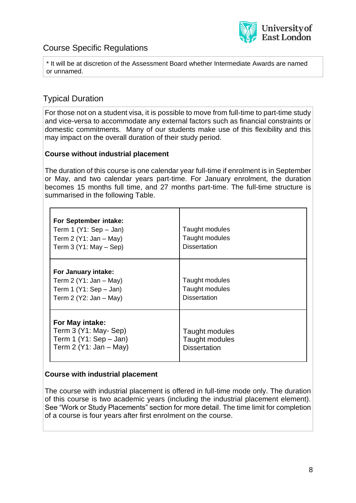

# Course Specific Regulations

\* It will be at discretion of the Assessment Board whether Intermediate Awards are named or unnamed.

### Typical Duration

For those not on a student visa, it is possible to move from full-time to part-time study and vice-versa to accommodate any external factors such as financial constraints or domestic commitments. Many of our students make use of this flexibility and this may impact on the overall duration of their study period.

#### **Course without industrial placement**

The duration of this course is one calendar year full-time if enrolment is in September or May, and two calendar years part-time. For January enrolment, the duration becomes 15 months full time, and 27 months part-time. The full-time structure is summarised in the following Table.

| For September intake:<br>Term 1 $(Y1: Sep - Jan)$<br>Term 2 $(Y1: Jan - May)$<br>Term $3(Y1: May - Sep)$  | Taught modules<br>Taught modules<br><b>Dissertation</b> |
|-----------------------------------------------------------------------------------------------------------|---------------------------------------------------------|
| For January intake:<br>Term 2 $(Y1: Jan - May)$<br>Term 1 $(Y1: Sep - Jan)$<br>Term 2 ( $Y2$ : Jan – May) | Taught modules<br>Taught modules<br><b>Dissertation</b> |
| For May intake:<br>Term 3 (Y1: May- Sep)<br>Term 1 $(Y1: Sep - Jan)$<br>Term 2 $(Y1: Jan - May)$          | Taught modules<br>Taught modules<br><b>Dissertation</b> |

#### **Course with industrial placement**

The course with industrial placement is offered in full-time mode only. The duration of this course is two academic years (including the industrial placement element). See "Work or Study Placements" section for more detail. The time limit for completion of a course is four years after first enrolment on the course.